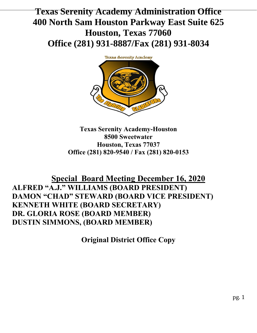# **Texas Serenity Academy Administration Office 400 North Sam Houston Parkway East Suite 625 Houston, Texas 77060 Office (281) 931-8887/Fax (281) 931-8034**



**Texas Serenity Academy-Houston 8500 Sweetwater Houston, Texas 77037 Office (281) 820-9540 / Fax (281) 820-0153**

## **Special Board Meeting December 16, 2020 ALFRED "A.J." WILLIAMS (BOARD PRESIDENT) DAMON "CHAD" STEWARD (BOARD VICE PRESIDENT) KENNETH WHITE (BOARD SECRETARY) DR. GLORIA ROSE (BOARD MEMBER) DUSTIN SIMMONS, (BOARD MEMBER)**

**Original District Office Copy**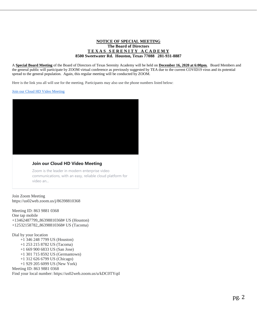#### **NOTICE OF SPECIAL MEETING The Board of Directors T E X A S S E R E N I T Y A C A D E M Y 8500 Sweetwater Rd. Houston, Texas 77088 281-931-8887**

A **Special Board Meeting** of the Board of Directors of Texas Serenity Academy will be held on **December 16, 2020 at 6:00pm.** Board Members and the general public will participate by ZOOM virtual conference as previously suggested by TEA due to the current COVID19 virus and its potential spread to the general population. Again, this regular meeting will be conducted by ZOOM.

Here is the link you all will use for the meeting. Participants may also use the phone numbers listed below:

[Join our Cloud HD Video Meeting](https://us02web.zoom.us/j/86398810368)



#### **Join our Cloud HD Video Meeting**

Zoom is the leader in modern enterprise video communications, with an easy, reliable cloud platform for video an...

Join Zoom Meeting https://us02web.zoom.us/j/86398810368

Meeting ID: 863 9881 0368 One tap mobile +13462487799,,86398810368# US (Houston) +12532158782,,86398810368# US (Tacoma)

Dial by your location +1 346 248 7799 US (Houston) +1 253 215 8782 US (Tacoma) +1 669 900 6833 US (San Jose) +1 301 715 8592 US (Germantown) +1 312 626 6799 US (Chicago) +1 929 205 6099 US (New York) Meeting ID: 863 9881 0368

Find your local number: https://us02web.zoom.us/u/kDC0TYqtl